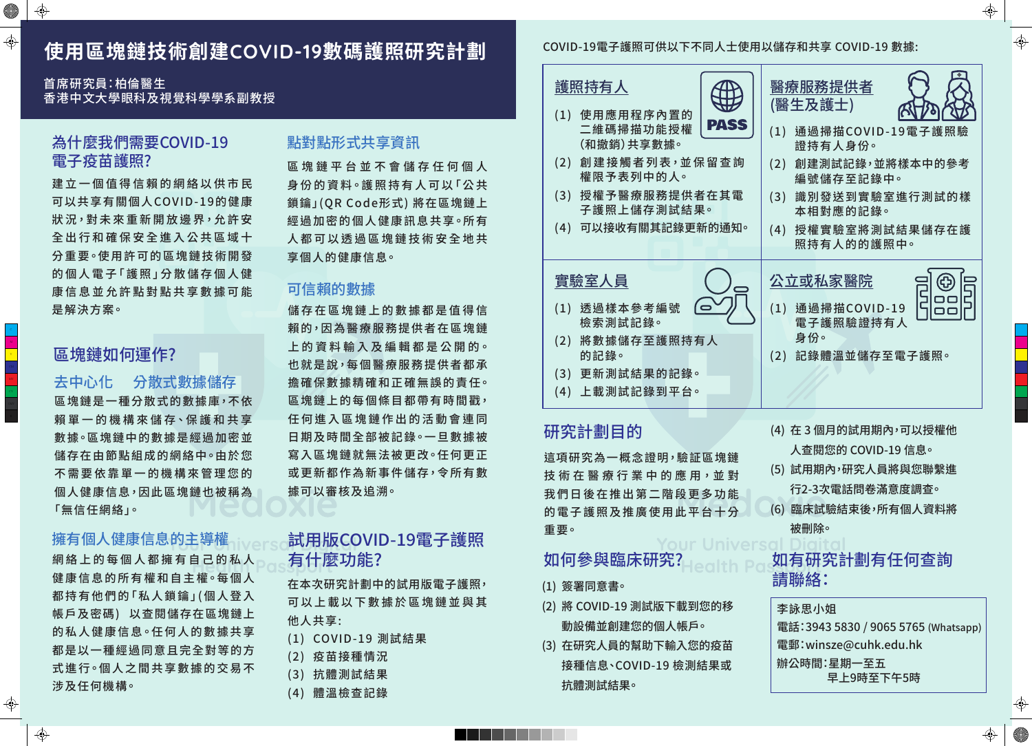# **使用區塊鏈技術創建**COVID-19**數碼護照研究計劃**

首席研究員:柏倫醫生 香港中文大學眼科及視覺科學學系副教授

建立一個值得信賴的網絡以供市民 可以共享有關個人COVID-19的健康 狀況,對未來重新開放邊界,允許安 全出行和確保安全進入公共區域十 分 重 要。使 用 許 可 的 區 塊 鏈 技 術 開 發 的 個 人 電 子「 護 照 」分 散 儲 存 個 人 健 康信息並允許點對點共享數據可能 是解決方案。

> 這項研究為一概念證明,驗証區塊鏈 技術 在 醫 療 行 業 中 的 應 用,並 對 我們日後在推出第二階段更多功能 的電子護照及推廣使用此平台十分 重要。

> > Your Uni

# 如何參與臨床研究?

# 區塊鏈如何運作?

# 試用版COVID-19電子護照 有什麼功能?

網絡上的每個人都擁有自己的私人 健康信息的所有權和自主權。每個人 都持有他們的「私人鎖鑰」(個人登入 帳戶及密碼) 以查閱儲存在區塊鏈上 的私人健康信息。任何人的數據共享 都是以一種經過同意且完全對等的方 式進行。個人之間共享數據的交易不 涉及任何機構。

區塊鏈平台並不會儲存任何個人 身份的資料。護照持有人可以「公共 鎖鑰」(QR Code形式) 將在區塊鏈上 經 過 加 密 的 個 人 健 康 訊 息 共 享 <sup>。</sup>所 有 人都可以透過區塊鏈技術安全地共 享個人的健康信息。

- (0) (1) 透過樣本參考編號 檢索測試記錄。
- (2) 將數據儲存至護照持有人 的記錄。
- (3) 更新測試結果的記錄。
- (4) 上載測試記錄到平台。
- (1) 使用應用程序內置的 二維碼掃描功能授權 (和撤銷)共享數據。
- (2) 創建接觸者列表,並保留查 權限予表列中的人。
- (3) 授權予醫療服務提供者在其 子護照上儲存測試結果。
- (4) 可以接收有關其記錄更新的通

#### 實驗室人員

區 塊鏈是一種分散式的數據庫,不依 賴 單 一 的 機 構 來 儲 存、保 護 和 共 享 數 據。區 塊 鏈 中 的 數 據 是 經 過 加 密 並 儲存在由節點組成的網絡中∘由於您 不需要依靠單一的機構來管理您的 個人健康信息,因此區塊鏈也被稱為 「無信任網絡」。 去中心化 分散式數據儲存

儲存在區塊鏈上的數據都是值得信 賴的,因為醫療服務提供者在區塊鏈 上 的 資 料 輸 入 及 編 輯 都 是 公 開 的。 也就是說,每個醫療服務提供者都承 擔 確 保 數 據 精 確 和 正 確 無 誤 的 責 任。 區 塊鏈上的每個條目都帶有時間戳, 任何進入區塊鏈作出的活動會連同 日期及時間全部被記錄。一旦數據被 寫 入 區 塊 鏈 就 無 法 被 更 改。任 何 更 正 或更新都作為新事件儲存,令所有數 據可以審核及追溯。

在本次研究計劃中的試用版電子護照, 可以上載以下數據於區塊鏈並與其 他人共享:

- (1) COVID-19 測試結果
- (2) 疫苗接種情況
- (3) 抗體測試結果
- (4) 體溫檢查記錄

(1) 簽署同意書。

- (2) 將 COVID-19 測試版下載到您的移 動設備並創建您的個人帳戶。
- (3) 在研究人員的幫助下輸入您的疫苗 接種信息、COVID-19 檢測結果或 抗體測試結果。

 $\bigoplus$ 

 $\bigoplus$ 

**All Straight Straight Straight** 

 $\bigoplus$ 

 $\bigoplus$ 

| PASS                | 醫療服務提供者<br>(醫生及護士)<br>通過掃描COVID-19電子護照驗<br>(1)                           |
|---------------------|--------------------------------------------------------------------------|
| 留查詢                 | 證持有人身份。<br>創建測試記錄,並將樣本中的參考<br>(2)<br>編號儲存至記錄中。                           |
| 在其電<br>. o<br>í的通知。 | 識別發送到實驗室進行測試的樣<br>(3)<br>本相對應的記錄。<br>授權實驗室將測試結果儲存在護<br>(4)<br>照持有人的的護照中。 |
|                     |                                                                          |
|                     | 公立或私家醫院<br>通過掃描COVID-19<br>(1)<br>電子護照驗證持有人                              |
| <b>、人</b>           | 身份。<br>(2) 記錄體溫並儲存至電子護照。                                                 |
|                     |                                                                          |
| 區塊鏈<br>,並對          | (4)  在 3 個月的試用期內,可以授權他<br>人查閱您的 COVID-19 信息。<br>(5) 試用期內,研究人員將與您聯繫進      |
|                     | 行2-3次電話問卷滿意度調查。                                                          |
| 多功能                 | (6) 臨床試驗結束後,所有個人資料將                                                      |
| 台十分                 |                                                                          |
| Universc<br>alth    | 被刪除。<br>如有研究計劃有任何查詢<br>請聯絡:                                              |
| 您的移                 | 李詠思小姐                                                                    |
|                     | 電話:3943 5830 / 9065 5765 (Whatsapp)                                      |
|                     |                                                                          |

#### COVID-19電子護照可供以下不同人士使用以儲存和共享 COVID-19 數據:

# 道照持有人  $\left|\bigoplus_{n=1}^{\infty}\right|$

電郵:winsze@cuhk.edu.hk 辦公時間:星期一至五 早上9時至下午5時

 $\bigoplus$ 

⊕

 $\bigoplus$ 

 $\bigoplus$ 



# 為什麼我們需要COVID-19 電子疫苗護照?

### 擁有個人健康信息的主導權

# 點對點形式共享資訊

## 可信賴的數據

# 研究計劃目的